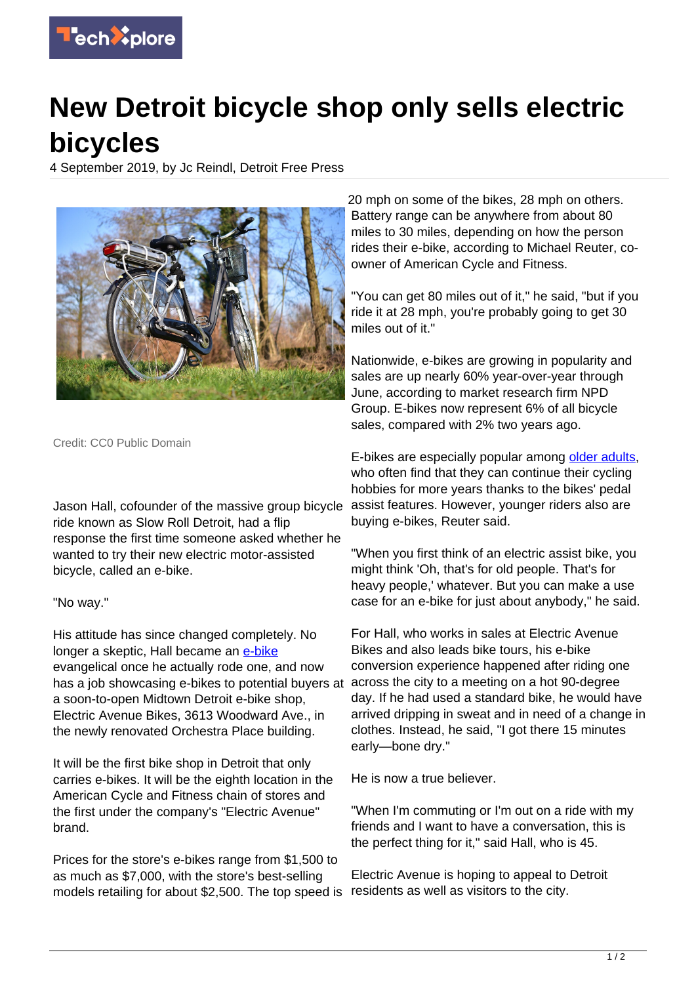

## **New Detroit bicycle shop only sells electric bicycles**

4 September 2019, by Jc Reindl, Detroit Free Press



Credit: CC0 Public Domain

Jason Hall, cofounder of the massive group bicycle ride known as Slow Roll Detroit, had a flip response the first time someone asked whether he wanted to try their new electric motor-assisted bicycle, called an e-bike.

## "No way."

His attitude has since changed completely. No longer a skeptic, Hall became an [e-bike](https://techxplore.com/tags/e-bike/) evangelical once he actually rode one, and now has a job showcasing e-bikes to potential buyers at a soon-to-open Midtown Detroit e-bike shop, Electric Avenue Bikes, 3613 Woodward Ave., in the newly renovated Orchestra Place building.

It will be the first bike shop in Detroit that only carries e-bikes. It will be the eighth location in the American Cycle and Fitness chain of stores and the first under the company's "Electric Avenue" brand.

Prices for the store's e-bikes range from \$1,500 to as much as \$7,000, with the store's best-selling models retailing for about \$2,500. The top speed is

20 mph on some of the bikes, 28 mph on others. Battery range can be anywhere from about 80 miles to 30 miles, depending on how the person rides their e-bike, according to Michael Reuter, coowner of American Cycle and Fitness.

"You can get 80 miles out of it," he said, "but if you ride it at 28 mph, you're probably going to get 30 miles out of it."

Nationwide, e-bikes are growing in popularity and sales are up nearly 60% year-over-year through June, according to market research firm NPD Group. E-bikes now represent 6% of all bicycle sales, compared with 2% two years ago.

E-bikes are especially popular among [older adults,](https://techxplore.com/tags/older+adults/) who often find that they can continue their cycling hobbies for more years thanks to the bikes' pedal assist features. However, younger riders also are buying e-bikes, Reuter said.

"When you first think of an electric assist bike, you might think 'Oh, that's for old people. That's for heavy people,' whatever. But you can make a use case for an e-bike for just about anybody," he said.

For Hall, who works in sales at Electric Avenue Bikes and also leads bike tours, his e-bike conversion experience happened after riding one across the city to a meeting on a hot 90-degree day. If he had used a standard bike, he would have arrived dripping in sweat and in need of a change in clothes. Instead, he said, "I got there 15 minutes early—bone dry."

He is now a true believer.

"When I'm commuting or I'm out on a ride with my friends and I want to have a conversation, this is the perfect thing for it," said Hall, who is 45.

Electric Avenue is hoping to appeal to Detroit residents as well as visitors to the city.